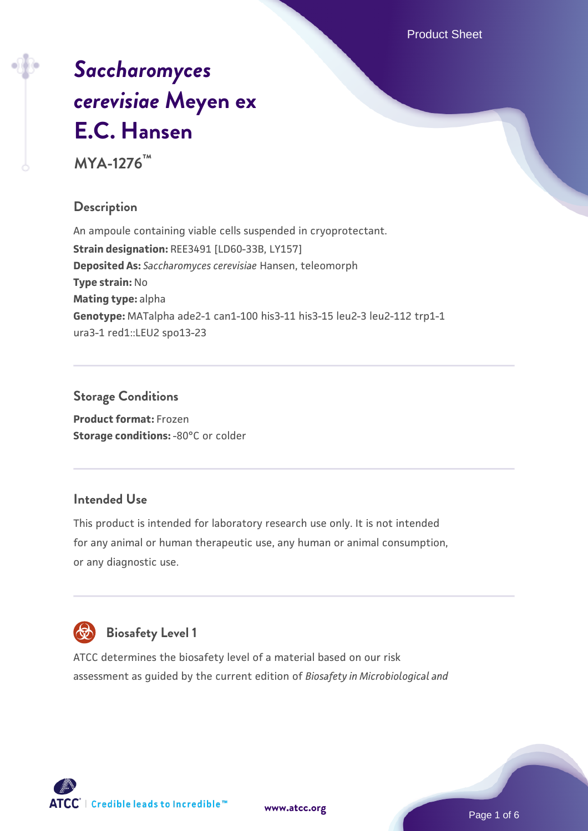# *[Saccharomyces](https://www.atcc.org/products/mya-1276) [cerevisiae](https://www.atcc.org/products/mya-1276)* **[Meyen ex](https://www.atcc.org/products/mya-1276) [E.C. Hansen](https://www.atcc.org/products/mya-1276)**

**MYA-1276™**

# **Description**

An ampoule containing viable cells suspended in cryoprotectant. **Strain designation:** REE3491 [LD60-33B, LY157] **Deposited As:** *Saccharomyces cerevisiae* Hansen, teleomorph **Type strain:** No **Mating type:** alpha **Genotype:** MATalpha ade2-1 can1-100 his3-11 his3-15 leu2-3 leu2-112 trp1-1 ura3-1 red1::LEU2 spo13-23

# **Storage Conditions**

**Product format:** Frozen **Storage conditions: -80°C or colder** 

# **Intended Use**

This product is intended for laboratory research use only. It is not intended for any animal or human therapeutic use, any human or animal consumption, or any diagnostic use.



# **Biosafety Level 1**

ATCC determines the biosafety level of a material based on our risk assessment as guided by the current edition of *Biosafety in Microbiological and*

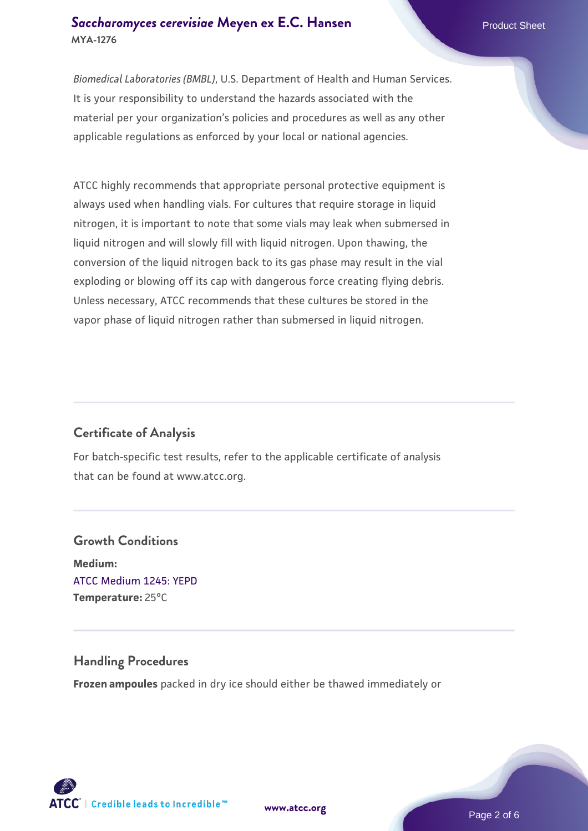## **[Saccharomyces cerevisiae](https://www.atcc.org/products/mya-1276)** [Meyen ex E.C. Hansen](https://www.atcc.org/products/mya-1276) **MYA-1276**

*Biomedical Laboratories (BMBL)*, U.S. Department of Health and Human Services. It is your responsibility to understand the hazards associated with the material per your organization's policies and procedures as well as any other applicable regulations as enforced by your local or national agencies.

ATCC highly recommends that appropriate personal protective equipment is always used when handling vials. For cultures that require storage in liquid nitrogen, it is important to note that some vials may leak when submersed in liquid nitrogen and will slowly fill with liquid nitrogen. Upon thawing, the conversion of the liquid nitrogen back to its gas phase may result in the vial exploding or blowing off its cap with dangerous force creating flying debris. Unless necessary, ATCC recommends that these cultures be stored in the vapor phase of liquid nitrogen rather than submersed in liquid nitrogen.

# **Certificate of Analysis**

For batch-specific test results, refer to the applicable certificate of analysis that can be found at www.atcc.org.

# **Growth Conditions Medium:**  [ATCC Medium 1245: YEPD](https://www.atcc.org/-/media/product-assets/documents/microbial-media-formulations/1/2/4/5/atcc-medium-1245.pdf?rev=705ca55d1b6f490a808a965d5c072196) **Temperature:** 25°C

# **Handling Procedures**

**Frozen ampoules** packed in dry ice should either be thawed immediately or



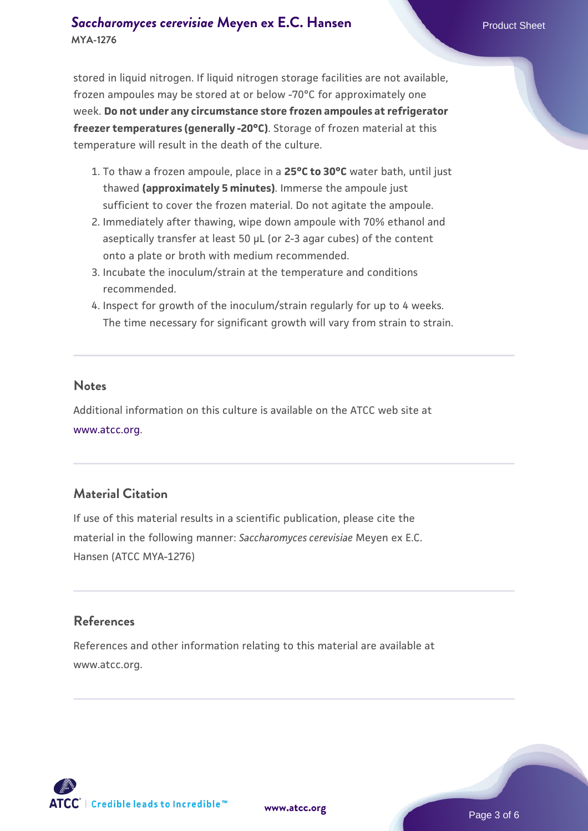# **[Saccharomyces cerevisiae](https://www.atcc.org/products/mya-1276)** [Meyen ex E.C. Hansen](https://www.atcc.org/products/mya-1276) **MYA-1276**

stored in liquid nitrogen. If liquid nitrogen storage facilities are not available, frozen ampoules may be stored at or below -70°C for approximately one week. **Do not under any circumstance store frozen ampoules at refrigerator freezer temperatures (generally -20°C)**. Storage of frozen material at this temperature will result in the death of the culture.

- 1. To thaw a frozen ampoule, place in a **25°C to 30°C** water bath, until just thawed **(approximately 5 minutes)**. Immerse the ampoule just sufficient to cover the frozen material. Do not agitate the ampoule.
- 2. Immediately after thawing, wipe down ampoule with 70% ethanol and aseptically transfer at least 50 µL (or 2-3 agar cubes) of the content onto a plate or broth with medium recommended.
- 3. Incubate the inoculum/strain at the temperature and conditions recommended.
- 4. Inspect for growth of the inoculum/strain regularly for up to 4 weeks. The time necessary for significant growth will vary from strain to strain.

#### **Notes**

Additional information on this culture is available on the ATCC web site at [www.atcc.org.](http://www.atcc.org/)

# **Material Citation**

If use of this material results in a scientific publication, please cite the material in the following manner: *Saccharomyces cerevisiae* Meyen ex E.C. Hansen (ATCC MYA-1276)

# **References**

References and other information relating to this material are available at www.atcc.org.

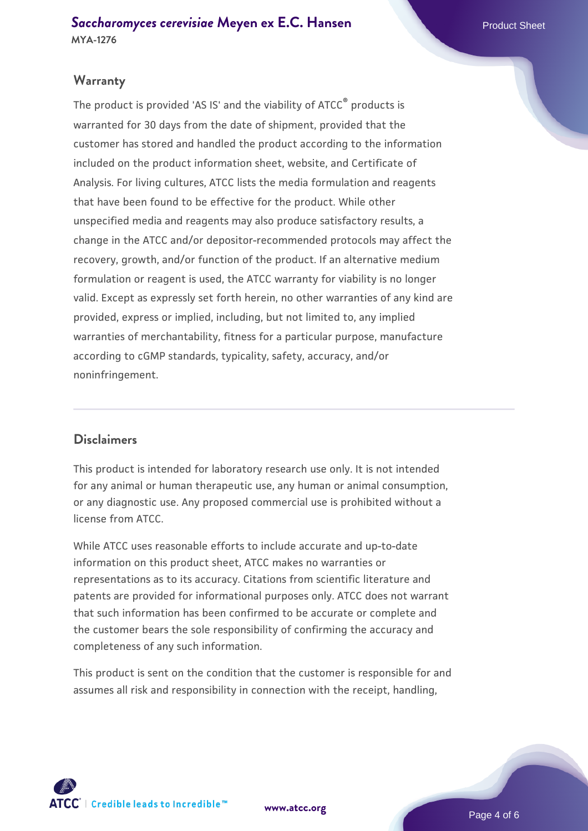# **Warranty**

The product is provided 'AS IS' and the viability of ATCC® products is warranted for 30 days from the date of shipment, provided that the customer has stored and handled the product according to the information included on the product information sheet, website, and Certificate of Analysis. For living cultures, ATCC lists the media formulation and reagents that have been found to be effective for the product. While other unspecified media and reagents may also produce satisfactory results, a change in the ATCC and/or depositor-recommended protocols may affect the recovery, growth, and/or function of the product. If an alternative medium formulation or reagent is used, the ATCC warranty for viability is no longer valid. Except as expressly set forth herein, no other warranties of any kind are provided, express or implied, including, but not limited to, any implied warranties of merchantability, fitness for a particular purpose, manufacture according to cGMP standards, typicality, safety, accuracy, and/or noninfringement.

### **Disclaimers**

This product is intended for laboratory research use only. It is not intended for any animal or human therapeutic use, any human or animal consumption, or any diagnostic use. Any proposed commercial use is prohibited without a license from ATCC.

While ATCC uses reasonable efforts to include accurate and up-to-date information on this product sheet, ATCC makes no warranties or representations as to its accuracy. Citations from scientific literature and patents are provided for informational purposes only. ATCC does not warrant that such information has been confirmed to be accurate or complete and the customer bears the sole responsibility of confirming the accuracy and completeness of any such information.

This product is sent on the condition that the customer is responsible for and assumes all risk and responsibility in connection with the receipt, handling,



**[www.atcc.org](http://www.atcc.org)**

Page 4 of 6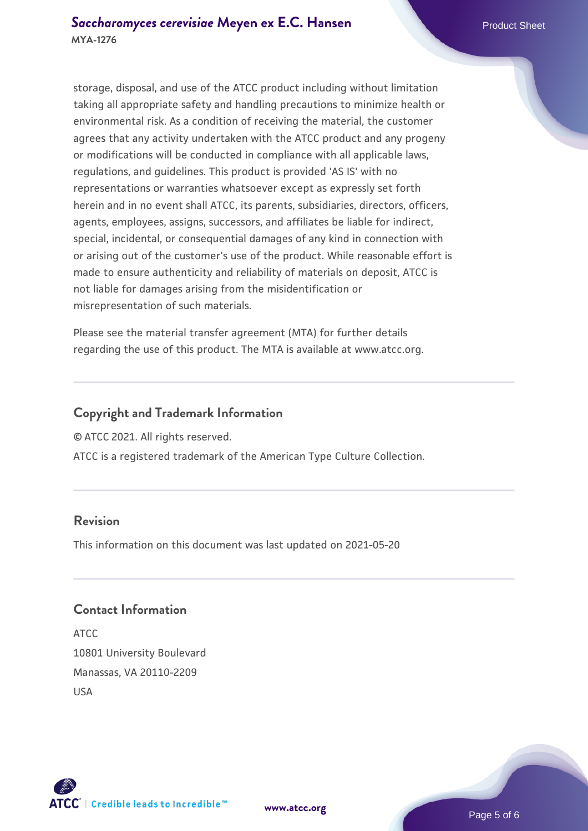storage, disposal, and use of the ATCC product including without limitation taking all appropriate safety and handling precautions to minimize health or environmental risk. As a condition of receiving the material, the customer agrees that any activity undertaken with the ATCC product and any progeny or modifications will be conducted in compliance with all applicable laws, regulations, and guidelines. This product is provided 'AS IS' with no representations or warranties whatsoever except as expressly set forth herein and in no event shall ATCC, its parents, subsidiaries, directors, officers, agents, employees, assigns, successors, and affiliates be liable for indirect, special, incidental, or consequential damages of any kind in connection with or arising out of the customer's use of the product. While reasonable effort is made to ensure authenticity and reliability of materials on deposit, ATCC is not liable for damages arising from the misidentification or misrepresentation of such materials.

Please see the material transfer agreement (MTA) for further details regarding the use of this product. The MTA is available at www.atcc.org.

# **Copyright and Trademark Information**

© ATCC 2021. All rights reserved.

ATCC is a registered trademark of the American Type Culture Collection.

# **Revision**

This information on this document was last updated on 2021-05-20

## **Contact Information**

ATCC 10801 University Boulevard Manassas, VA 20110-2209 USA